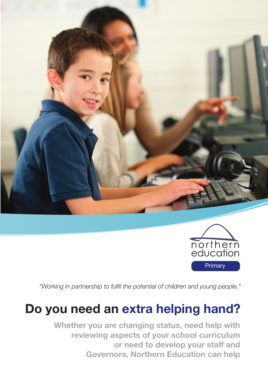



*"Working in partnership to fulfil the potential of children and young people."*

# **Do you need an extra helping hand?**

**Whether you are changing status, need help with reviewing aspects of your school curriculum or need to develop your staff and Governors, Northern Education can help**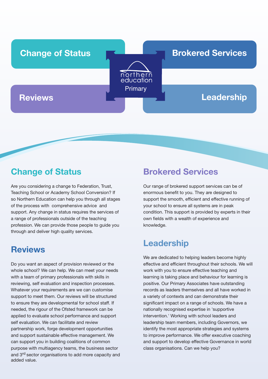

### **Change of Status**

Are you considering a change to Federation, Trust, Teaching School or Academy School Conversion? If so Northern Education can help you through all stages of the process with comprehensive advice and support. Any change in status requires the services of a range of professionals outside of the teaching profession. We can provide those people to guide you through and deliver high quality services.

### **Reviews**

Do you want an aspect of provision reviewed or the whole school? We can help. We can meet your needs with a team of primary professionals with skills in reviewing, self evaluation and inspection processes. Whatever your requirements are we can customise support to meet them. Our reviews will be structured to ensure they are developmental for school staff. If needed, the rigour of the Ofsted framework can be applied to evaluate school performance and support self evaluation. We can facilitate and review partnership work, forge development opportunities and support sustainable effective management. We can support you in building coalitions of common purpose with multiagency teams, the business sector and 3rd sector organisations to add more capacity and added value.

### **Brokered Services**

Our range of brokered support services can be of enormous benefit to you. They are designed to support the smooth, efficient and effective running of your school to ensure all systems are in peak condition. This support is provided by experts in their own fields with a wealth of experience and knowledge.

### **Leadership**

We are dedicated to helping leaders become highly effective and efficient throughout their schools. We will work with you to ensure effective teaching and learning is taking place and behaviour for learning is positive. Our Primary Associates have outstanding records as leaders themselves and all have worked in a variety of contexts and can demonstrate their significant impact on a range of schools. We have a nationally recognised expertise in 'supportive intervention.' Working with school leaders and leadership team members, including Governors, we identify the most appropriate strategies and systems to improve performance. We offer executive coaching and support to develop effective Governance in world class organisations. Can we help you?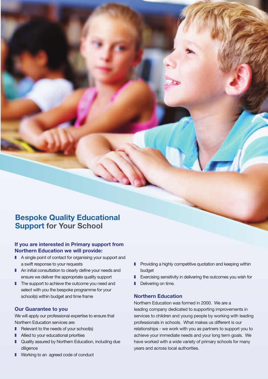### **Bespoke Quality Educational Support for Your School**

#### **If you are interested in Primary support from Northern Education we will provide:**

- A single point of contact for organising your support and a swift response to your requests
- An initial consultation to clearly define your needs and ensure we deliver the appropriate quality support
- The support to achieve the outcome you need and select with you the bespoke programme for your school(s) within budget and time frame

#### **Our Guarantee to you**

We will apply our professional expertise to ensure that Northern Education services are:

- Relevant to the needs of your school(s)
- Allied to your educational priorities
- Quality assured by Northern Education, including due diligence
- Working to an agreed code of conduct
- Providing a highly competitive quotation and keeping within budget
- **■** Exercising sensitivity in delivering the outcomes you wish for
- **I** Delivering on time.

#### **Northern Education**

Northern Education was formed in 2000. We are a leading company dedicated to supporting improvements in services to children and young people by working with leading professionals in schools. What makes us different is our relationships - we work with you as partners to support you to achieve your immediate needs and your long term goals. We have worked with a wide variety of primary schools for many years and across local authorities.